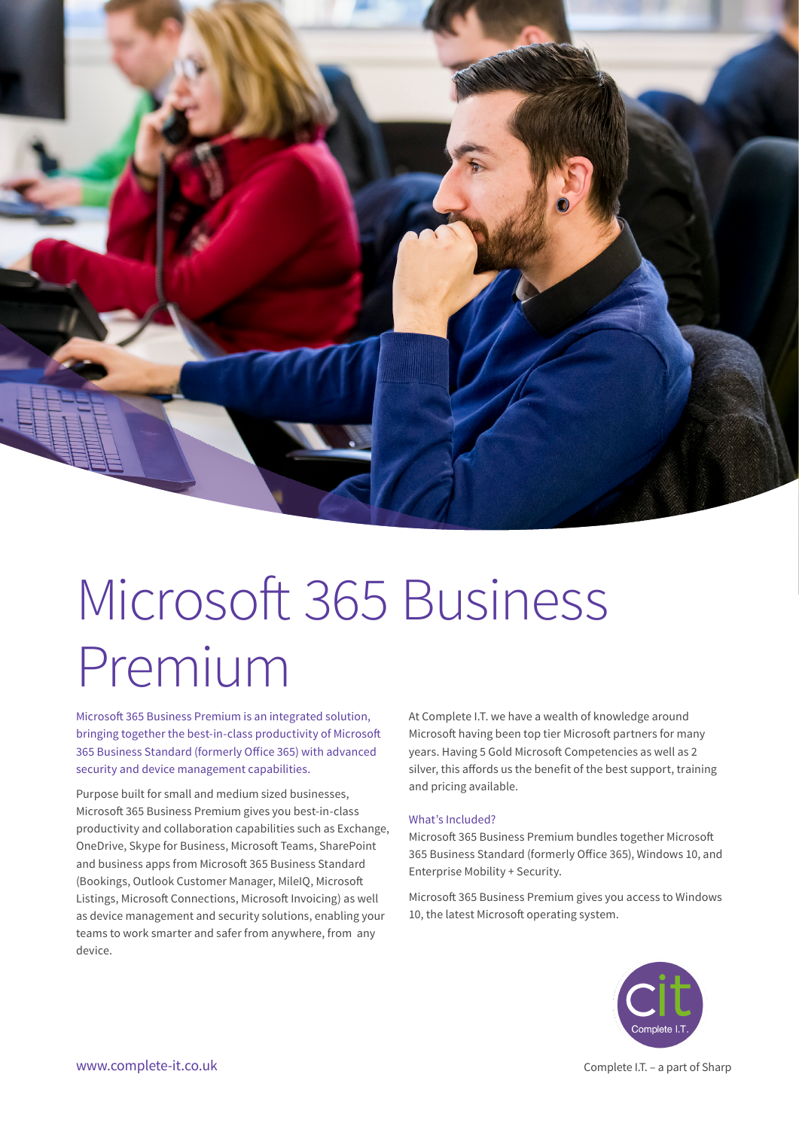

# Microsoft 365 Business Premium

Microsoft 365 Business Premium is an integrated solution, bringing together the best-in-class productivity of Microsoft 365 Business Standard (formerly Office 365) with advanced security and device management capabilities.

Purpose built for small and medium sized businesses, Microsoft 365 Business Premium gives you best-in-class productivity and collaboration capabilities such as Exchange, OneDrive, Skype for Business, Microsoft Teams, SharePoint and business apps from Microsoft 365 Business Standard (Bookings, Outlook Customer Manager, MileIQ, Microsoft Listings, Microsoft Connections, Microsoft Invoicing) as well as device management and security solutions, enabling your teams to work smarter and safer from anywhere, from any device.

At Complete I.T. we have a wealth of knowledge around Microsoft having been top tier Microsoft partners for many years. Having 5 Gold Microsoft Competencies as well as 2 silver, this affords us the benefit of the best support, training and pricing available.

## What's Included?

Microsoft 365 Business Premium bundles together Microsoft 365 Business Standard (formerly Office 365), Windows 10, and Enterprise Mobility + Security.

Microsoft 365 Business Premium gives you access to Windows 10, the latest Microsoft operating system.